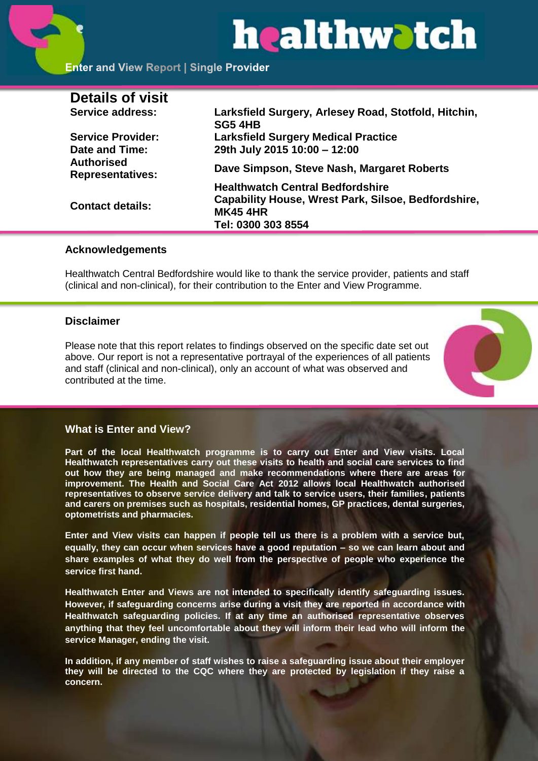# healthwatch

# **Enter and View Report | Single Provider**

| Larksfield Surgery, Arlesey Road, Stotfold, Hitchin,<br><b>SG5 4HB</b>                                                                         |
|------------------------------------------------------------------------------------------------------------------------------------------------|
| <b>Larksfield Surgery Medical Practice</b>                                                                                                     |
| 29th July 2015 10:00 - 12:00                                                                                                                   |
| Dave Simpson, Steve Nash, Margaret Roberts                                                                                                     |
| <b>Healthwatch Central Bedfordshire</b><br><b>Capability House, Wrest Park, Silsoe, Bedfordshire,</b><br><b>MK45 4HR</b><br>Tel: 0300 303 8554 |
|                                                                                                                                                |

# **Acknowledgements**

Healthwatch Central Bedfordshire would like to thank the service provider, patients and staff (clinical and non-clinical), for their contribution to the Enter and View Programme.

# **Disclaimer**

Please note that this report relates to findings observed on the specific date set out above. Our report is not a representative portrayal of the experiences of all patients and staff (clinical and non-clinical), only an account of what was observed and contributed at the time.



# **What is Enter and View?**

**Part of the local Healthwatch programme is to carry out Enter and View visits. Local Healthwatch representatives carry out these visits to health and social care services to find out how they are being managed and make recommendations where there are areas for improvement. The Health and Social Care Act 2012 allows local Healthwatch authorised representatives to observe service delivery and talk to service users, their families, patients and carers on premises such as hospitals, residential homes, GP practices, dental surgeries, optometrists and pharmacies.** 

**Enter and View visits can happen if people tell us there is a problem with a service but, equally, they can occur when services have a good reputation – so we can learn about and share examples of what they do well from the perspective of people who experience the service first hand.**

**Healthwatch Enter and Views are not intended to specifically identify safeguarding issues. However, if safeguarding concerns arise during a visit they are reported in accordance with Healthwatch safeguarding policies. If at any time an authorised representative observes anything that they feel uncomfortable about they will inform their lead who will inform the service Manager, ending the visit.** 

**In addition, if any member of staff wishes to raise a safeguarding issue about their employer they will be directed to the CQC where they are protected by legislation if they raise a concern.**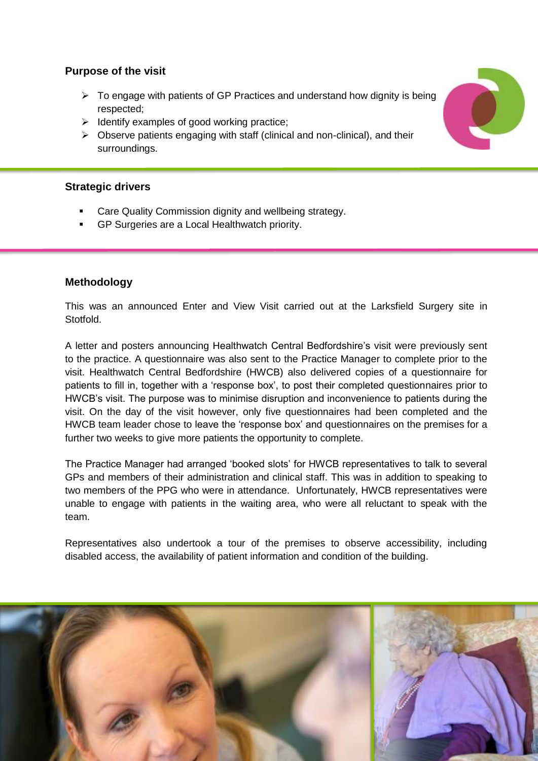# **Purpose of the visit**

- $\triangleright$  To engage with patients of GP Practices and understand how dignity is being respected;
- $\triangleright$  Identify examples of good working practice;
- $\triangleright$  Observe patients engaging with staff (clinical and non-clinical), and their surroundings.

# **Strategic drivers**

- Care Quality Commission dignity and wellbeing strategy.
- GP Surgeries are a Local Healthwatch priority.

# **Methodology**

This was an announced Enter and View Visit carried out at the Larksfield Surgery site in Stotfold.

A letter and posters announcing Healthwatch Central Bedfordshire's visit were previously sent to the practice. A questionnaire was also sent to the Practice Manager to complete prior to the visit. Healthwatch Central Bedfordshire (HWCB) also delivered copies of a questionnaire for patients to fill in, together with a 'response box', to post their completed questionnaires prior to HWCB's visit. The purpose was to minimise disruption and inconvenience to patients during the visit. On the day of the visit however, only five questionnaires had been completed and the HWCB team leader chose to leave the 'response box' and questionnaires on the premises for a further two weeks to give more patients the opportunity to complete.

The Practice Manager had arranged 'booked slots' for HWCB representatives to talk to several GPs and members of their administration and clinical staff. This was in addition to speaking to two members of the PPG who were in attendance. Unfortunately, HWCB representatives were unable to engage with patients in the waiting area, who were all reluctant to speak with the team.

Representatives also undertook a tour of the premises to observe accessibility, including disabled access, the availability of patient information and condition of the building.



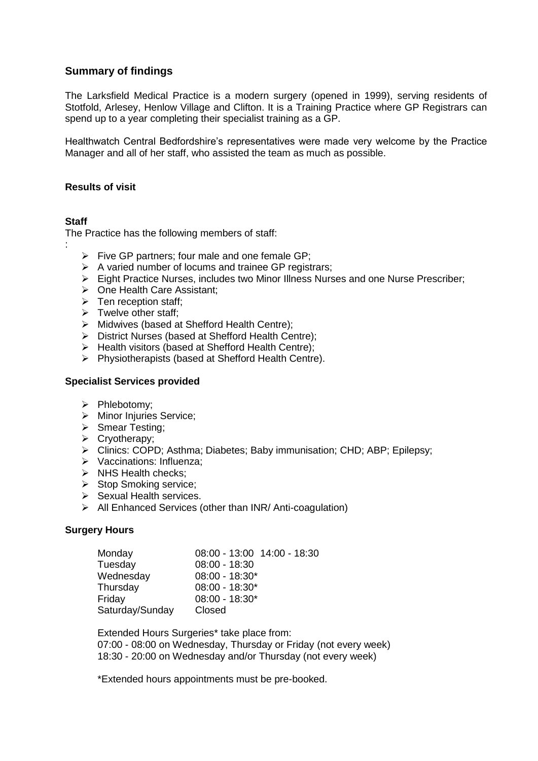# **Summary of findings**

The Larksfield Medical Practice is a modern surgery (opened in 1999), serving residents of Stotfold, Arlesey, Henlow Village and Clifton. It is a Training Practice where GP Registrars can spend up to a year completing their specialist training as a GP.

Healthwatch Central Bedfordshire's representatives were made very welcome by the Practice Manager and all of her staff, who assisted the team as much as possible.

#### **Results of visit**

# **Staff**

:

The Practice has the following members of staff:

- $\triangleright$  Five GP partners; four male and one female GP:
- $\triangleright$  A varied number of locums and trainee GP registrars;
- $\triangleright$  Eight Practice Nurses, includes two Minor Illness Nurses and one Nurse Prescriber;
- ▶ One Health Care Assistant;
- $\triangleright$  Ten reception staff;
- $\triangleright$  Twelve other staff;
- $\triangleright$  Midwives (based at Shefford Health Centre):
- District Nurses (based at Shefford Health Centre);
- $\triangleright$  Health visitors (based at Shefford Health Centre);
- $\triangleright$  Physiotherapists (based at Shefford Health Centre).

#### **Specialist Services provided**

- $\triangleright$  Phlebotomy;
- > Minor Injuries Service;
- $\triangleright$  Smear Testing;
- $\triangleright$  Cryotherapy;
- Clinics: COPD; Asthma; Diabetes; Baby immunisation; CHD; ABP; Epilepsy;
- > Vaccinations: Influenza;
- $\triangleright$  NHS Health checks;
- $\triangleright$  Stop Smoking service;
- $\triangleright$  Sexual Health services.
- $\triangleright$  All Enhanced Services (other than INR/ Anti-coagulation)

#### **Surgery Hours**

| Monday          | 08:00 - 13:00 14:00 - 18:30 |
|-----------------|-----------------------------|
| Tuesday         | $08:00 - 18:30$             |
| Wednesday       | $08:00 - 18:30*$            |
| Thursday        | $08:00 - 18:30*$            |
| Friday          | $08:00 - 18:30*$            |
| Saturday/Sunday | Closed                      |

Extended Hours Surgeries\* take place from: 07:00 - 08:00 on Wednesday, Thursday or Friday (not every week) 18:30 - 20:00 on Wednesday and/or Thursday (not every week)

\*Extended hours appointments must be pre-booked.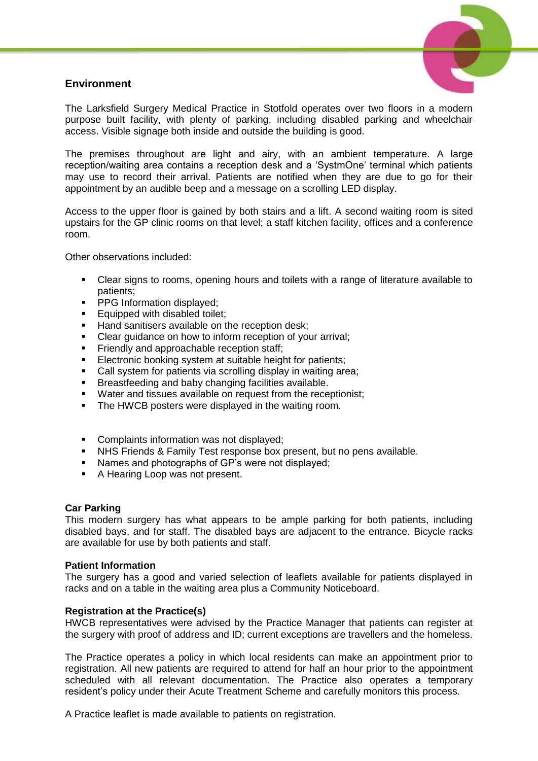# **Environment**



The Larksfield Surgery Medical Practice in Stotfold operates over two floors in a modern purpose built facility, with plenty of parking, including disabled parking and wheelchair access. Visible signage both inside and outside the building is good.

The premises throughout are light and airy, with an ambient temperature. A large reception/waiting area contains a reception desk and a 'SystmOne' terminal which patients may use to record their arrival. Patients are notified when they are due to go for their appointment by an audible beep and a message on a scrolling LED display.

Access to the upper floor is gained by both stairs and a lift. A second waiting room is sited upstairs for the GP clinic rooms on that level; a staff kitchen facility, offices and a conference room.

Other observations included:

- Clear signs to rooms, opening hours and toilets with a range of literature available to patients;
- **PPG Information displayed;**
- **Equipped with disabled toilet;**
- Hand sanitisers available on the reception desk;
- Clear guidance on how to inform reception of your arrival:
- Friendly and approachable reception staff;<br>Flectronic booking system at suitable beight
- Electronic booking system at suitable height for patients;
- Call system for patients via scrolling display in waiting area;
- Breastfeeding and baby changing facilities available.
- Water and tissues available on request from the receptionist;
- **The HWCB posters were displayed in the waiting room.**
- **Complaints information was not displayed;**
- NHS Friends & Family Test response box present, but no pens available.<br>• Names and photographs of GP's were not displayed:
- Names and photographs of GP's were not displayed;
- A Hearing Loop was not present.

#### **Car Parking**

This modern surgery has what appears to be ample parking for both patients, including disabled bays, and for staff. The disabled bays are adjacent to the entrance. Bicycle racks are available for use by both patients and staff.

#### **Patient Information**

The surgery has a good and varied selection of leaflets available for patients displayed in racks and on a table in the waiting area plus a Community Noticeboard.

#### **Registration at the Practice(s)**

HWCB representatives were advised by the Practice Manager that patients can register at the surgery with proof of address and ID; current exceptions are travellers and the homeless.

The Practice operates a policy in which local residents can make an appointment prior to registration. All new patients are required to attend for half an hour prior to the appointment scheduled with all relevant documentation. The Practice also operates a temporary resident's policy under their Acute Treatment Scheme and carefully monitors this process.

A Practice leaflet is made available to patients on registration.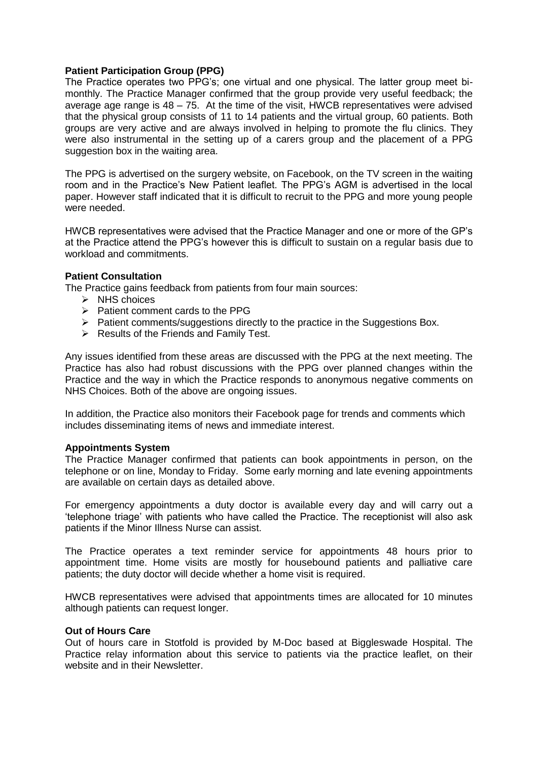#### **Patient Participation Group (PPG)**

The Practice operates two PPG's; one virtual and one physical. The latter group meet bimonthly. The Practice Manager confirmed that the group provide very useful feedback; the average age range is 48 – 75. At the time of the visit, HWCB representatives were advised that the physical group consists of 11 to 14 patients and the virtual group, 60 patients. Both groups are very active and are always involved in helping to promote the flu clinics. They were also instrumental in the setting up of a carers group and the placement of a PPG suggestion box in the waiting area.

The PPG is advertised on the surgery website, on Facebook, on the TV screen in the waiting room and in the Practice's New Patient leaflet. The PPG's AGM is advertised in the local paper. However staff indicated that it is difficult to recruit to the PPG and more young people were needed.

HWCB representatives were advised that the Practice Manager and one or more of the GP's at the Practice attend the PPG's however this is difficult to sustain on a regular basis due to workload and commitments.

#### **Patient Consultation**

The Practice gains feedback from patients from four main sources:

- $\triangleright$  NHS choices
- $\triangleright$  Patient comment cards to the PPG
- $\triangleright$  Patient comments/suggestions directly to the practice in the Suggestions Box.
- $\triangleright$  Results of the Friends and Family Test.

Any issues identified from these areas are discussed with the PPG at the next meeting. The Practice has also had robust discussions with the PPG over planned changes within the Practice and the way in which the Practice responds to anonymous negative comments on NHS Choices. Both of the above are ongoing issues.

In addition, the Practice also monitors their Facebook page for trends and comments which includes disseminating items of news and immediate interest.

#### **Appointments System**

The Practice Manager confirmed that patients can book appointments in person, on the telephone or on line, Monday to Friday. Some early morning and late evening appointments are available on certain days as detailed above.

For emergency appointments a duty doctor is available every day and will carry out a 'telephone triage' with patients who have called the Practice. The receptionist will also ask patients if the Minor Illness Nurse can assist.

The Practice operates a text reminder service for appointments 48 hours prior to appointment time. Home visits are mostly for housebound patients and palliative care patients; the duty doctor will decide whether a home visit is required.

HWCB representatives were advised that appointments times are allocated for 10 minutes although patients can request longer.

#### **Out of Hours Care**

Out of hours care in Stotfold is provided by M-Doc based at Biggleswade Hospital. The Practice relay information about this service to patients via the practice leaflet, on their website and in their Newsletter.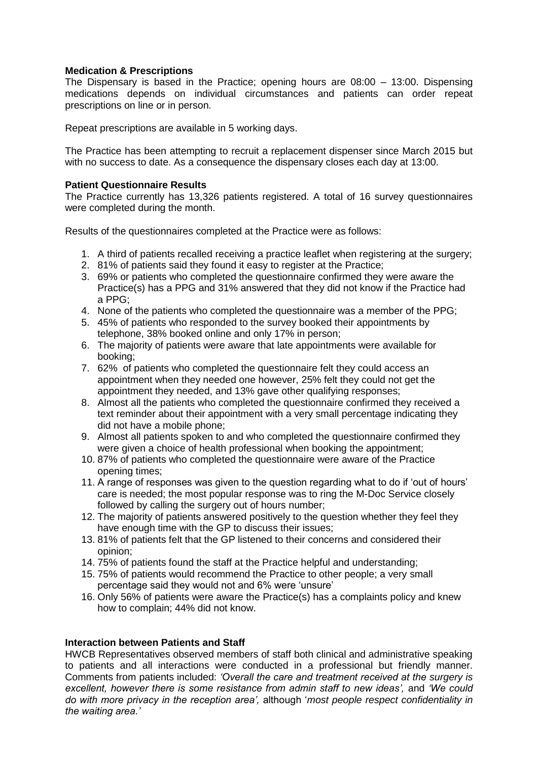#### **Medication & Prescriptions**

The Dispensary is based in the Practice; opening hours are 08:00 – 13:00. Dispensing medications depends on individual circumstances and patients can order repeat prescriptions on line or in person.

Repeat prescriptions are available in 5 working days.

The Practice has been attempting to recruit a replacement dispenser since March 2015 but with no success to date. As a consequence the dispensary closes each day at 13:00.

#### **Patient Questionnaire Results**

The Practice currently has 13,326 patients registered. A total of 16 survey questionnaires were completed during the month.

Results of the questionnaires completed at the Practice were as follows:

- 1. A third of patients recalled receiving a practice leaflet when registering at the surgery;
- 2. 81% of patients said they found it easy to register at the Practice;
- 3. 69% or patients who completed the questionnaire confirmed they were aware the Practice(s) has a PPG and 31% answered that they did not know if the Practice had a PPG;
- 4. None of the patients who completed the questionnaire was a member of the PPG;
- 5. 45% of patients who responded to the survey booked their appointments by telephone, 38% booked online and only 17% in person;
- 6. The majority of patients were aware that late appointments were available for booking;
- 7. 62% of patients who completed the questionnaire felt they could access an appointment when they needed one however, 25% felt they could not get the appointment they needed, and 13% gave other qualifying responses;
- 8. Almost all the patients who completed the questionnaire confirmed they received a text reminder about their appointment with a very small percentage indicating they did not have a mobile phone;
- 9. Almost all patients spoken to and who completed the questionnaire confirmed they were given a choice of health professional when booking the appointment;
- 10. 87% of patients who completed the questionnaire were aware of the Practice opening times;
- 11. A range of responses was given to the question regarding what to do if 'out of hours' care is needed; the most popular response was to ring the M-Doc Service closely followed by calling the surgery out of hours number;
- 12. The majority of patients answered positively to the question whether they feel they have enough time with the GP to discuss their issues;
- 13. 81% of patients felt that the GP listened to their concerns and considered their opinion;
- 14. 75% of patients found the staff at the Practice helpful and understanding;
- 15. 75% of patients would recommend the Practice to other people; a very small percentage said they would not and 6% were 'unsure'
- 16. Only 56% of patients were aware the Practice(s) has a complaints policy and knew how to complain; 44% did not know.

# **Interaction between Patients and Staff**

HWCB Representatives observed members of staff both clinical and administrative speaking to patients and all interactions were conducted in a professional but friendly manner. Comments from patients included: *'Overall the care and treatment received at the surgery is excellent, however there is some resistance from admin staff to new ideas',* and *'We could do with more privacy in the reception area',* although '*most people respect confidentiality in the waiting area.'*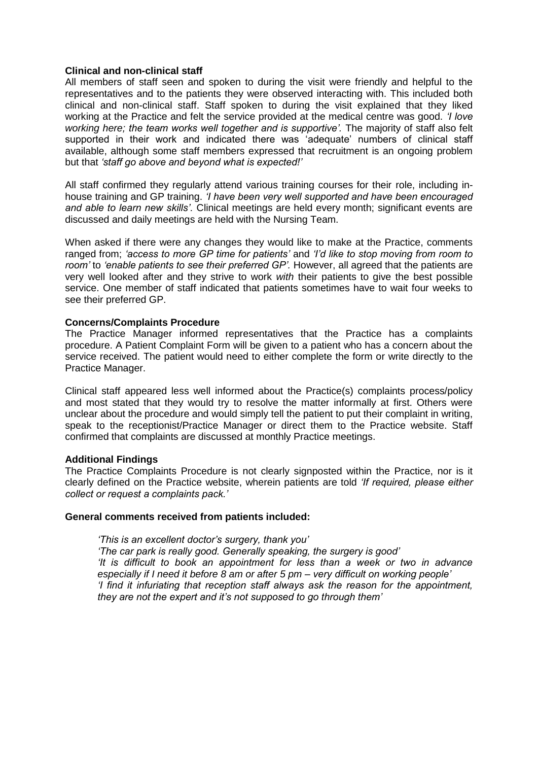#### **Clinical and non-clinical staff**

All members of staff seen and spoken to during the visit were friendly and helpful to the representatives and to the patients they were observed interacting with. This included both clinical and non-clinical staff. Staff spoken to during the visit explained that they liked working at the Practice and felt the service provided at the medical centre was good. *'I love working here; the team works well together and is supportive'.* The majority of staff also felt supported in their work and indicated there was 'adequate' numbers of clinical staff available, although some staff members expressed that recruitment is an ongoing problem but that *'staff go above and beyond what is expected!'*

All staff confirmed they regularly attend various training courses for their role, including inhouse training and GP training. *'I have been very well supported and have been encouraged and able to learn new skills'.* Clinical meetings are held every month; significant events are discussed and daily meetings are held with the Nursing Team.

When asked if there were any changes they would like to make at the Practice, comments ranged from; *'access to more GP time for patients'* and *'I'd like to stop moving from room to room'* to *'enable patients to see their preferred GP'.* However, all agreed that the patients are very well looked after and they strive to work *with* their patients to give the best possible service. One member of staff indicated that patients sometimes have to wait four weeks to see their preferred GP.

#### **Concerns/Complaints Procedure**

The Practice Manager informed representatives that the Practice has a complaints procedure. A Patient Complaint Form will be given to a patient who has a concern about the service received. The patient would need to either complete the form or write directly to the Practice Manager.

Clinical staff appeared less well informed about the Practice(s) complaints process/policy and most stated that they would try to resolve the matter informally at first. Others were unclear about the procedure and would simply tell the patient to put their complaint in writing, speak to the receptionist/Practice Manager or direct them to the Practice website. Staff confirmed that complaints are discussed at monthly Practice meetings.

#### **Additional Findings**

The Practice Complaints Procedure is not clearly signposted within the Practice, nor is it clearly defined on the Practice website, wherein patients are told *'If required, please either collect or request a complaints pack.'*

#### **General comments received from patients included:**

*'This is an excellent doctor's surgery, thank you' 'The car park is really good. Generally speaking, the surgery is good' 'It is difficult to book an appointment for less than a week or two in advance especially if I need it before 8 am or after 5 pm – very difficult on working people' 'I find it infuriating that reception staff always ask the reason for the appointment, they are not the expert and it's not supposed to go through them'*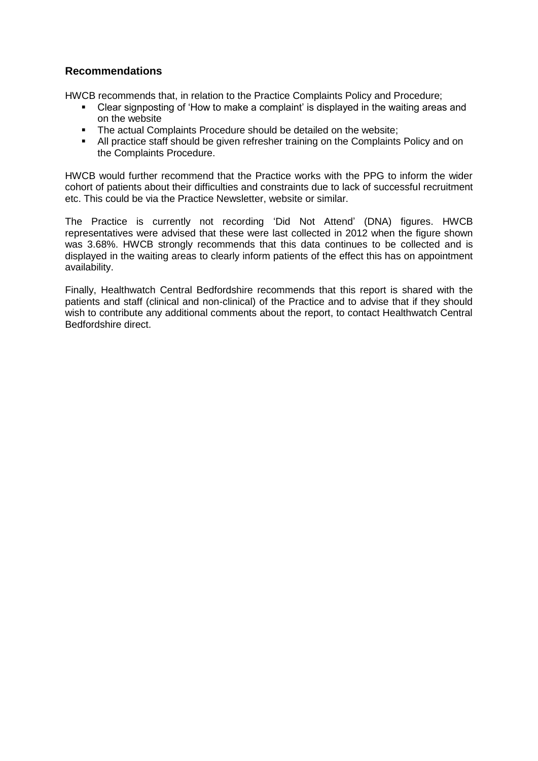# **Recommendations**

HWCB recommends that, in relation to the Practice Complaints Policy and Procedure;

- Clear signposting of 'How to make a complaint' is displayed in the waiting areas and on the website
- The actual Complaints Procedure should be detailed on the website;
- All practice staff should be given refresher training on the Complaints Policy and on the Complaints Procedure.

HWCB would further recommend that the Practice works with the PPG to inform the wider cohort of patients about their difficulties and constraints due to lack of successful recruitment etc. This could be via the Practice Newsletter, website or similar.

The Practice is currently not recording 'Did Not Attend' (DNA) figures. HWCB representatives were advised that these were last collected in 2012 when the figure shown was 3.68%. HWCB strongly recommends that this data continues to be collected and is displayed in the waiting areas to clearly inform patients of the effect this has on appointment availability.

Finally, Healthwatch Central Bedfordshire recommends that this report is shared with the patients and staff (clinical and non-clinical) of the Practice and to advise that if they should wish to contribute any additional comments about the report, to contact Healthwatch Central Bedfordshire direct.